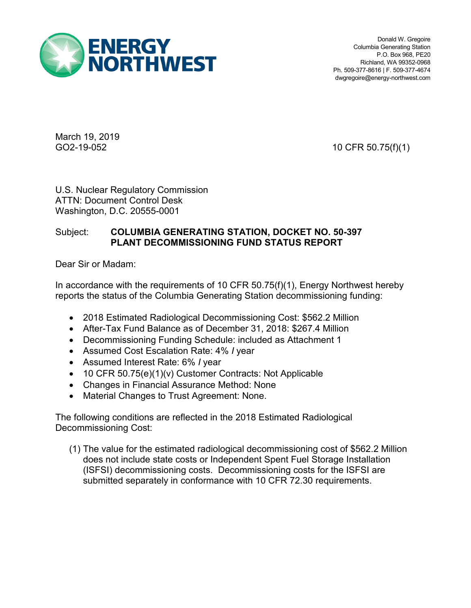

Donald W. Gregoire Columbia Generating Station P.O. Box 968, PE20 Richland, WA 99352-0968 Ph. 509-377-8616 | F. 509-377-4674 dwgregoire@energy-northwest.com

March 19, 2019

GO2-19-052 10 CFR 50.75(f)(1)

## U.S. Nuclear Regulatory Commission ATTN: Document Control Desk Washington, D.C. 20555-0001

## Subject: **COLUMBIA GENERATING STATION, DOCKET NO. 50-397 PLANT DECOMMISSIONING FUND STATUS REPORT**

Dear Sir or Madam:

In accordance with the requirements of 10 CFR 50.75(f)(1), Energy Northwest hereby reports the status of the Columbia Generating Station decommissioning funding:

- 2018 Estimated Radiological Decommissioning Cost: \$562.2 Million
- After-Tax Fund Balance as of December 31, 2018: \$267.4 Million
- Decommissioning Funding Schedule: included as Attachment 1
- Assumed Cost Escalation Rate: 4% *I* year
- Assumed Interest Rate: 6% *I* year
- 10 CFR 50.75(e)(1)(v) Customer Contracts: Not Applicable
- Changes in Financial Assurance Method: None
- Material Changes to Trust Agreement: None.

The following conditions are reflected in the 2018 Estimated Radiological Decommissioning Cost:

(1) The value for the estimated radiological decommissioning cost of \$562.2 Million does not include state costs or Independent Spent Fuel Storage Installation (ISFSI) decommissioning costs. Decommissioning costs for the ISFSI are submitted separately in conformance with 10 CFR 72.30 requirements.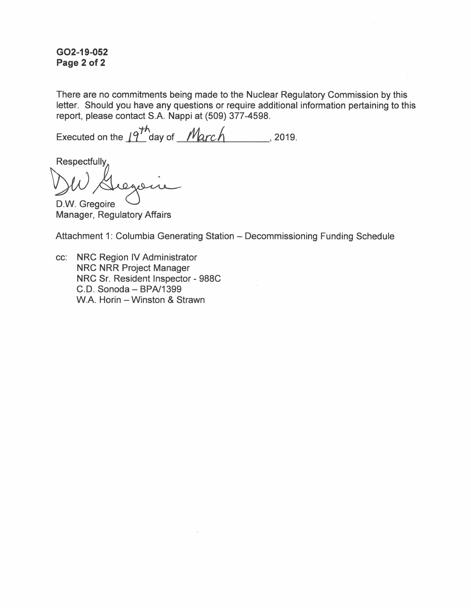**GO2-19-052 Page 2 of 2** 

There are no commitments being made to the Nuclear Regulatory Commission by this letter. Should you have any questions or require additional information pertaining to this report, please contact S.A. Nappi at (509) 377-4598.

Executed on the  $19^{th}$  day of  $March$ , 2019.

Respectfully,

 $0.90$ 

D.W. Gregoire Manager, Regulatory Affairs

Attachment 1: Columbia Generating Station - Decommissioning Funding Schedule

cc: NRC Region IV Administrator NRC NRR Project Manager NRC Sr. Resident Inspector - 988C C.D. Sonoda - BPA/1399 W.A. Horin - Winston & Strawn